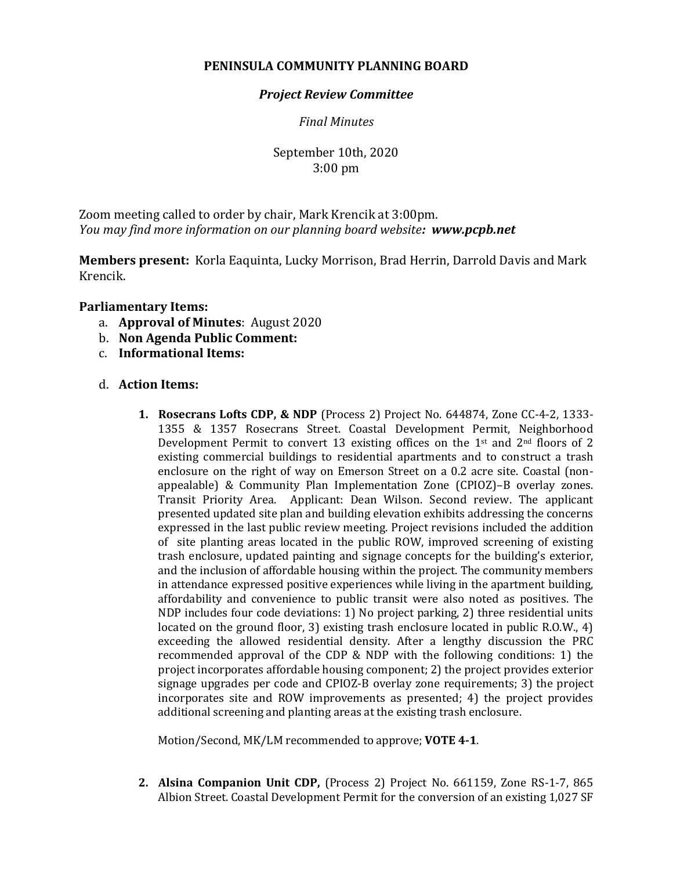# **PENINSULA COMMUNITY PLANNING BOARD**

## *Project Review Committee*

## *Final Minutes*

# September 10th, 2020 3:00 pm

Zoom meeting called to order by chair, Mark Krencik at 3:00pm. *You may find more information on our planning board website: www.pcpb.net*

**Members present:** Korla Eaquinta, Lucky Morrison, Brad Herrin, Darrold Davis and Mark Krencik.

### **Parliamentary Items:**

- a. **Approval of Minutes**: August 2020
- b. **Non Agenda Public Comment:**
- c. **Informational Items:**

### d. **Action Items:**

**1. Rosecrans Lofts CDP, & NDP** (Process 2) Project No. 644874, Zone CC-4-2, 1333- 1355 & 1357 Rosecrans Street. Coastal Development Permit, Neighborhood Development Permit to convert 13 existing offices on the 1<sup>st</sup> and 2<sup>nd</sup> floors of 2 existing commercial buildings to residential apartments and to construct a trash enclosure on the right of way on Emerson Street on a 0.2 acre site. Coastal (nonappealable) & Community Plan Implementation Zone (CPIOZ)–B overlay zones. Transit Priority Area. Applicant: Dean Wilson. Second review. The applicant presented updated site plan and building elevation exhibits addressing the concerns expressed in the last public review meeting. Project revisions included the addition of site planting areas located in the public ROW, improved screening of existing trash enclosure, updated painting and signage concepts for the building's exterior, and the inclusion of affordable housing within the project. The community members in attendance expressed positive experiences while living in the apartment building, affordability and convenience to public transit were also noted as positives. The NDP includes four code deviations: 1) No project parking, 2) three residential units located on the ground floor, 3) existing trash enclosure located in public R.O.W., 4) exceeding the allowed residential density. After a lengthy discussion the PRC recommended approval of the CDP & NDP with the following conditions: 1) the project incorporates affordable housing component; 2) the project provides exterior signage upgrades per code and CPIOZ-B overlay zone requirements; 3) the project incorporates site and ROW improvements as presented; 4) the project provides additional screening and planting areas at the existing trash enclosure.

Motion/Second, MK/LM recommended to approve; **VOTE 4-1**.

**2. Alsina Companion Unit CDP,** (Process 2) Project No. 661159, Zone RS-1-7, 865 Albion Street. Coastal Development Permit for the conversion of an existing 1,027 SF